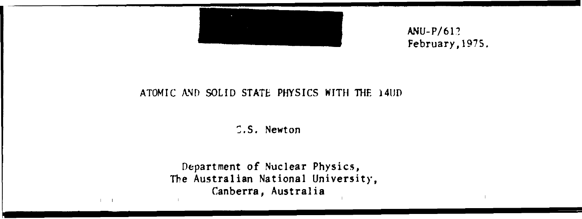

 $AVU-P/612$ February, 1975.

#### **ATOMIC AND SOLID STATE PHYSICS WITH THE 14UD**

**C.S. Newton** 

**Department of Nuclear Physics, The Australian National University, Canberra, Australia**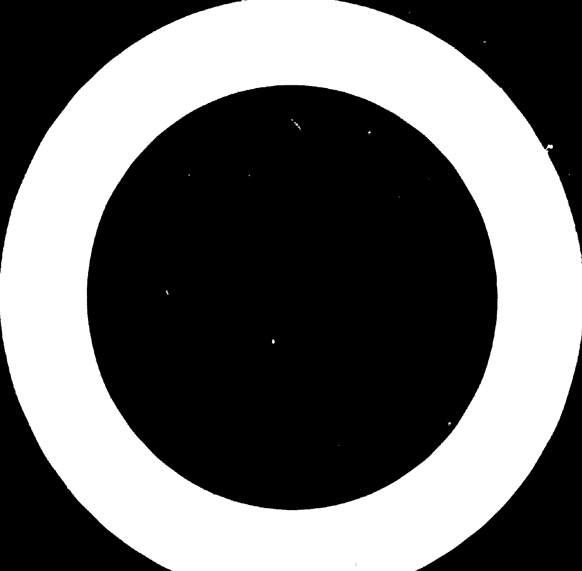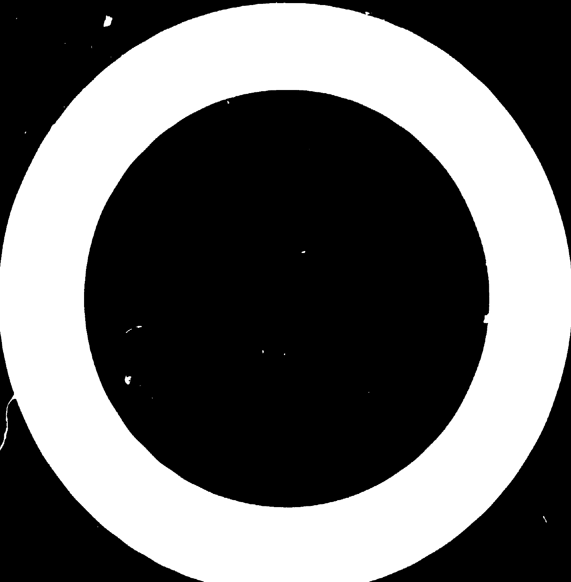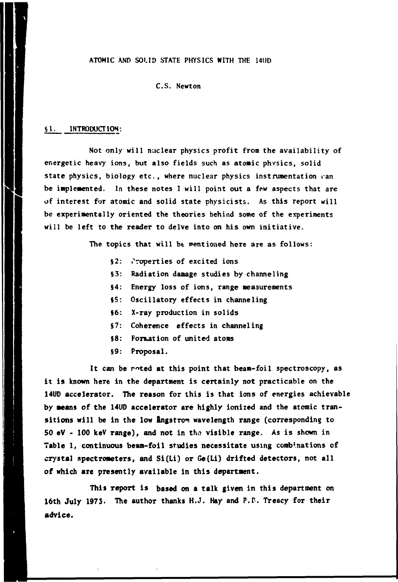#### **ATOMIC AND SOLID STATE PHYSICS WITH THE 14UD**

**C.S. Newton** 

#### **SI. INTRODUCTION:**

**Not only will nuclear physics profit from the availability of energetic heavy ions, but also fields such as atonic phvsics, solid state physics, biology etc., where nuclear physics instrumentation ran be implemented. In these notes I will point out a few aspects that are of interest for atomic and solid state physicists. As this report will be experimentally oriented the theories behind some of the experiments will be left to the reader to delve into on his own initiative.** 

**The topics that will bt mentioned here are as follows:** 

- **§2: Properties of excited ions**
- **§3: Radiation damage studies by channeling**
- **§4: Energy loss of ions, range measurements**
- **§5: Oscillatory effects in channeling**
- **§6: X-ray production in solids**
- **§7: Coherence effects in channeling**
- **58: Fondation of united atoms**
- **§9: Proposal.**

It can be noted at this point that beam-foil spectroscopy, as **it is known here in the department is certainly not practicable on the 14UD accelerator. The reason for this is that ions of energies achievable by means of the 14UD accelerator are highly ionized and the atomic tran**sitions will be in the low angstrom wavelength range (corresponding to **50 eV - 100 keV range), and not in the visible range. As is shown in Table 1, continuous beam-foil studies necessitate using combinations of crystal spectrometers, and Si(Li) or Ge(Li) drifted detectors, not all of which are presently available in this department.** 

**This report is based on a talk given in this department on 16th July 1973. The author thanks H.J. Hay and P.P. Treacy for their advice.**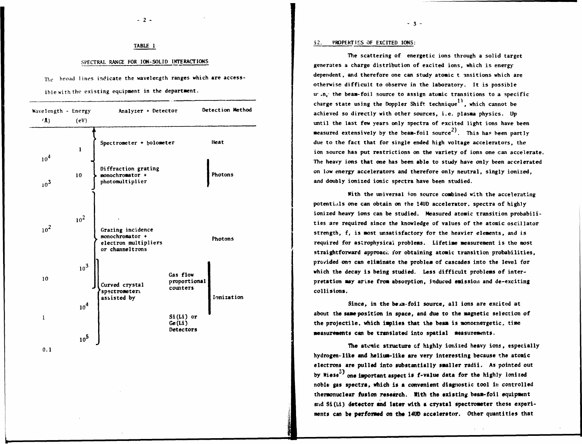#### **TABLE 1**

**- 2 -**

#### **SPECTRAL RANGE FOR ION-SOLID INTERACTIONS**

The broad lines indicate the wavelength ranges which are access**ible with the existing equipment in the department.** 

| Wavelength - Energy |                   | Analyzer + Detector                                                             |                                      | Detection Method |
|---------------------|-------------------|---------------------------------------------------------------------------------|--------------------------------------|------------------|
| (4)                 | (eV)              |                                                                                 |                                      |                  |
|                     | $\mathbf{l}$      | Spectrometer + bolometer                                                        |                                      | Heat             |
| 10 <sup>4</sup>     |                   |                                                                                 |                                      |                  |
| $10^3$              | 10                | Diffraction grating<br>monochromator +<br>photomultiplier                       |                                      | <b>Photons</b>   |
|                     |                   |                                                                                 |                                      |                  |
| $10^{2}$            | 10 <sup>2</sup>   | Grazing incidence<br>monochromator +<br>electron multipliers<br>or channeltrons |                                      | Photons          |
| 10                  | $10^{\mathbf{3}}$ | Curved crystal<br>spectrometeri<br>assisted by                                  | Gas flow<br>proportional<br>counters | Ionization       |
| $\mathbf{1}$        | 10 <sup>4</sup>   |                                                                                 | $Si(Li)$ or<br>Ge(Li)<br>Detectors   |                  |
|                     | 10 <sup>5</sup>   |                                                                                 |                                      |                  |

**0.1** 

#### **§2. PROPERTIES OF EXCITED IONS:**

**The scattering of energetic ions through a solid target generates a charge distribution of excited ions, which is energy dependent, and therefore one can study atomic t ansitions which are otherwise difficult to observe in the laboratory. It is possible u' »n,- the beam-foil source to assign atomic transitions to a specific**  charge state using the Doppler Shift technique<sup>1</sup>, which cannot be **achieved so directly with other sources, i.e. plasma physics. Up until the last few years only spectra of excited light ions have been measured extensively by the beam-foil source<sup>2)</sup>. This has been partly due to the fact that for single ended high voltage accelerators, the ion source has put restrictions on the variety of ions one can accelerate. The heavy ions that one has been able to study have only been accelerated on low energy accelerators and therefore only neutral, singly ionized, and doubly ionized ionic spectra have been studied.** 

**- 3 -**

**With the universal ion source combined with the accelerating potentials one can obtain on the 14UD accelerator, spectra of highly ionized heavy ions can be studied. Measured atomic transition probabilities are required since the knowledge of values of the atonic oscillator strength, f, is most unsatisfactory for the heavier elements, and is required for astrophysicai problems. Lifetime measurement is the most**  straightforward approach for obtaining atomic transition probabilities, **provided on'} can eliminate the problem of cascades into the level for which the decay is being studied. Less difficult problems of interpretation may arise from absorption, induced emission and de-exciting collisions.** 

Since, in the beam-foil source, all ions are excited at **about the same position in space, and due to the magnetic selection of the projectile, which implies that the beam is monoenergetic, time measurements can be translated into spatial measurements.** 

**The atomic structure cf highly ionized heavy ions, especially hydrogen-like and helium-like are very interesting because the atomic electrons are pulled into substantially smaller radii. As pointed out**  by Wiese<sup>3</sup> one important aspect is f-value data for the highly ionized noble gas spectra, which is a convenient diagnostic tool in controlled thermonuclear fusion research. With the existing beam-foil equipment and Si(Li) detector and later with a crystal spectrometer these experiments can be performed on the 140D accelerator. Other quantities that

**ments can be performed on the 140D accelerator. Other quantities that** 

 $\mathbf{1}$  ,  $\mathbf{1}$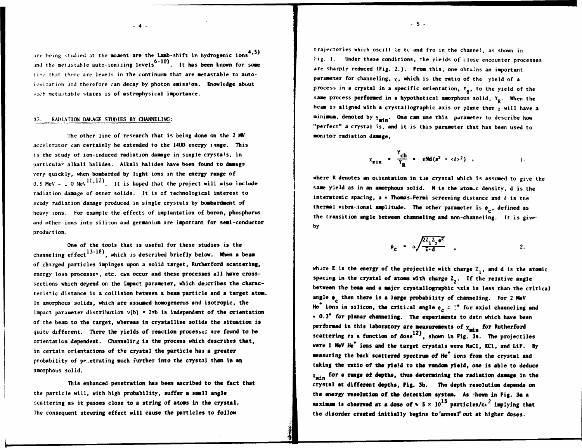**- S -**

**- 4 -**

**ire being studied at the mojient are the Lamb-shift in hydrogenic ions '**  and the metastable auto-ionizing levels<sup>6-10</sup>. It has been known for some time that there are levels in the continuum that are metastable to auto**ioniration and therefore can decay by photon emission. Knowledge about**  such metastable states is of astrophysical importance.

#### **RADIATION** *DM AGE* **STUDIES BY CHANNELING:**

**The other line of research that is being done on the 2 MV accelerator can certainly be extended to the 14UD energy unge. This is the study of ion-induced radiation damage in single crystals, in**  particular alkali halides. Alkali halides have been found to danage **very quickly, when bombarded by light ions in the energy range of**  0.5 MeV -  $\Box$  0 MeV<sup>11,12</sup>, It is hoped that the project will also include **radiation damage of otner solids. It is of technological interest to study radiation damage produced in single crystals by bombardment of heavy ions. For example the effects of implantation of boron, phosphorus and other ions into silicon and germanium are important for semi-conductor production.** 

**One of the tools that is useful for these studies is the**  channeling effect<sup>13-18</sup>, which is described briefly below. When a beam **of charged particles impinges upon a solid target, Rutherford scattering, energy loss processe\*, etc. can occur and these processes all have crosssections which depend on the impact parameter, which describes the characteristic distance in a collision between a beam particle and a target atom. In amorphous solids, which are assumed homogeneous and isotropic, the**  impact parameter distribution  $v(b)$   $x$  2<sup>n</sup>b is independent of the orientation **of the beam to the target, whereas in crystalline solids the situation is**  quite different. There the yields of reaction processe: are found to be **orientation dependent. Channelirg is the process which describes that, in certain orientations of the crystal the particle has a greater probability of pr .etrating much further into the crystal than in an amorphous solid.** 

**This enhanced penetration has been ascribed to the fact that the particle will, with high probability, suffer a small angle scattering as it passes close to a string of atoms in the crystal. The consequent steering effect will cause the particles to follow** 

**trajectories which oscill te te and fro in the channel, as shown in Fig. 1. Under these conditions, the yields of close encounter processes are sharply reduced (Fig. 2.). From this, one obtains an important**  parameter for channeling,  $x$ , which is the ratio of the yield of a process in a crystal in a specific orientation, Y<sub>a</sub>, to the yield of the same process performed in a hypothetical amorphous solid, Y<sub>R</sub>. When the beam is aligned with a crystallographic axis or plane then  $\chi$  will have a minimum, denoted by  $x_{\min}$ . One can use this parameter to describe how "perfect" a crystal is, and it is this parameter that has been used to monitor radiation damage.

$$
X_{\text{min}} = \frac{Y_{\text{ch}}}{Y_{\text{R}}} = \text{rNd}(a^2 + \langle \delta \rangle^2), \qquad 1.
$$

**where R denotes an oiientation in t.ie crystal which is assumed to give the**  same yield as in an amorphous solid. N is the atom.c density, d is the **interatomic spacing, a \* Thomas-Fermi screening distance and <5 is the**  thermal vibrational amplitude. The other parameter is  $\psi_c$ , defined as **the transition angle between channeling and non-channeling. It is giveby** 

$$
\psi_{\mathbf{C}} = \alpha \sqrt{\frac{2z_1 z_2 e^2}{\bar{\epsilon} \cdot d}} \qquad , \qquad \qquad 2.
$$

where E is the energy of the projectile with charge  $Z_1$ , and d is the atomic spacing in the crystal of atoms with charge  $Z_2$ . If the relative angle between the beam and a major crystallographic axis is less than the critical angle  $\psi_c$  then there is a large probability of channeling. For 2 MeV He<sup>t</sup> ions in silicon, the critical angle  $\phi_c$   $\approx$  1<sup>°</sup> for axial channeling and **•** *0.5'* **for planar channeling. The experiments to date which have been**  performed in this laboratory are measurements of  $\chi_{\text{min}}$  for Rutherford 12) shown in Fig. 1 were I MeV He<sup>+</sup> ions and the target crystals were NaCl, KCl, and LiF. By measuring the back scattered spectrum of He<sup>\*</sup> ions from the crystal and taking the ratio of the yield to the random yield, one is able to deduce  $x_{\min}$  for a range of depths, thus determining the radiation damage in the *xrystal at different depths, Fig. 3b.* **The depth resolution depends on** the energy resolution of the detection system. As **hown** in Fig. 3a a maximum is observed at a dose of  $\sim 5 \times 10^{15}$  particles/c.<sup>2</sup> implying that **maximum is observed at a dose of ^ S x 10 particles/o implying tha the disorder created initially begins to'anneal'out at higher doses.**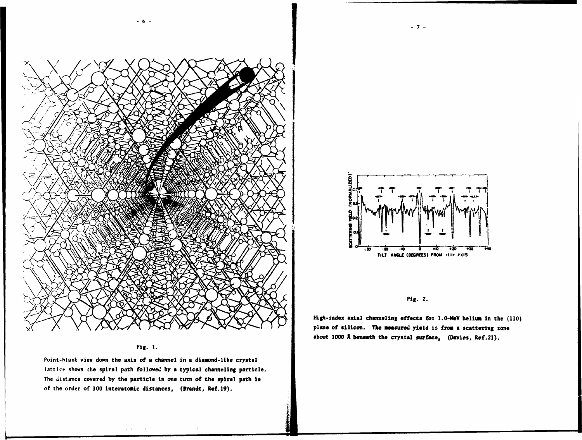



### **Fig. 2.**

High-index axial channeling effects for 1.0-MeV helium in the {110} plane of silicon. The **measured** yield is from a scattering zone **about 1000 A beneath the crystal surface, (Dsvies, Ref. 21).** 

### **Fig.** 1.

 $\pm$  -  $\pm$ 

Point-blank view down **the** axis **of a channel** in **a diaaond-like crystal**  lattice shows the spiral path **followed by a typical channeling particle.**  The distance **covered by the particle in one turn of the spiral path is**  of the order of 100 **interatomic distances, (Brandt, Ref.19).** 

**- 7 -**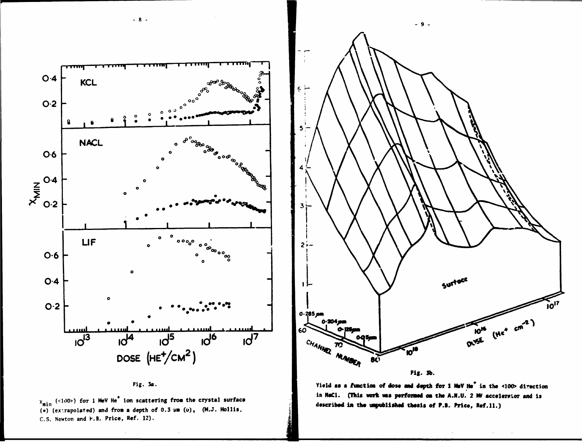

 $-8-$ 



 $x_{\min}$  (<100>) for 1 MeV He<sup>+</sup> ion scattering from the crystal surface (e) (extrapolated) and from a depth of  $0.3 \text{ µm}$  (o), (M.J. Hollis. C.S. Newton and P.B. Price, Ref. 12).



Yield as a function of dose and depth for I MeV He<sup>+</sup> in the <100> direction in NeCl. (This work was performed on the A.N.U. 2 MV accelerator and is described in the unpublished thesis of P.B. Price, Ref.11.)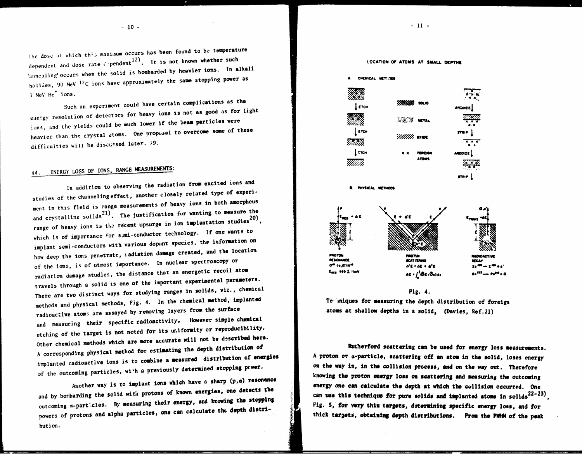The dose at which this maximum occurs has been found to be temperature dependent and dose rate *i*mpendent<sup>12</sup>. It is not known whether such **'annealing'occurs when the solid is bombarded by heavier ions. In alkali**  ha lides, 90 MeV <sup>12</sup>C ions have approximately the same stopping power 1 MeV He<sup>+</sup> ions.

**Such an experiment could have certain complications as the energy resolution of detectors for heavy ions is not as good as for light ions, and the yield? could be much lower if the beam particles were heavier than the crystal atoms. One proposal to overcome some of these difficulties will be discussed later, j9.** 

# **§4. ENERGY LOSS OF IONS, RANGE MEASUREMENTS:**

**In addition to observing the radiation from excited ions and studies of the channelingeffect, another closely related type of experiment in this field is range measurements of heavy ions in both amorphous**  and crystalline solids<sup>21)</sup>. The justification for wanting to measure the range of heavy ions is the recent upsurge in ion implantation studies<sup>20)</sup> which is of importance for semi-conductor technology. If one wants to implant semi-conductors with various dopant species, the information on how deep the ions penetrate, iadiation damage created, and the location of the ions, is of utmost importance. In nuclear spectroscopy or radiation damage studies, the distance that an energetic recoil atom travels through a solid is one of the important experimental parameters. There are two distinct ways for studying ranges in solids, viz., chemical methods and physical methods, Fig. 4. In the chemical method, implanted radioactive atoms are assayed by removing layers from the surface and measuring their specific radioactivity. However simple chemical etching of the target is not noted for its uniformity or reproducibility. Other chemical methods which are more accurate will not be described here. A corresponding physical method for estimating the depth distribution of A corresponding physical method for estimation of **analysis** and depth distribution of **analy** implanted radioactive ions is to company and a surface compine newer. **of the outcoming particles, wi'h a previously determined stopping pewer.** 

**Another way is to implant ions which have a sharp (p,a) resonance and by bombarding the solid with protons of known energies, one detects the**  outcoming a-particles. By measuring their energy, and knowing the stopping **powers of protons and alpha particles, one can calculate tht depth distribution.** 

#### LOCATION DT **ATOMS AT SMALL DEPTHS**



#### **Fig. 4.**

**Te iniques for measuring the depth distribution of foreign atoms at shallow depths in a solid, (Davies, Ref.21)** 

**Rutherford scattering can be used for energy loss measurements. A proton or o-particle, scattering off an atom in the solid, loses energy on the way in, in the collision process, and on the way out. Therefore knowing the proton energy loss on scattering and measuring the outcoaing energy one can calculate the depth at which the collision occurred. One**  can use this technique for pure solids and implanted atoms in solids<sup> $22-23$ </sup>. Fig. 5, for very thin targets, dstermining specific energy loss, and for thick targets, obtaining depth distributions. From the FWHM of the peak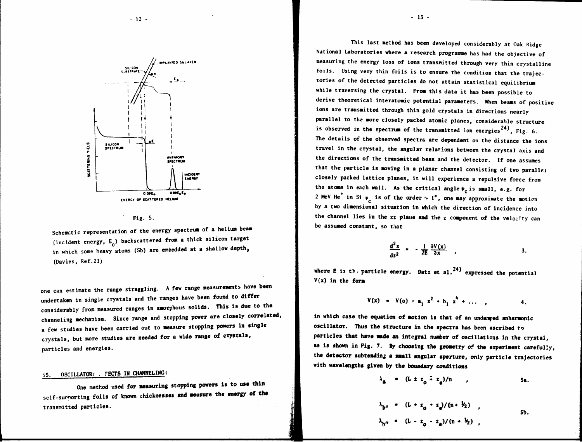**- 12 -**



**Fig. 5.** 

**Schematic representation of the energy spectrum of a helium beaa**  (incident energy, E<sub>0</sub>) backscattered from a thick silicon target **in which some heavy atoms (Sb) are embedded at a shallow depth, (Davies, Ref.21)** 

**one can estimate the range straggling. A few range measurements have been undertaken in single crystals and the ranges have been found to differ considerably from measured ranges in amorphous solids. This is due to the channeling mechanism. Since range and stopping power are closely correlated, a few studies have been carried out to measure stopping powers in single crystals, but more studies are needed for a wide range of crystals, particles and energies.** 

## **ï5. OSCILLATOR« . FECTS IN CHANNELING:**

**One method used for measuring stopping powers is to use thin self-sumorting foils of known thicknesses and measure the energy of the transmitted particles.** 

**This last method has been developed considerably at Oak Ridge National Laboratories where a research programme has had the objective of measuring the energy loss of ions transmitted through very thin crystalline foils. Using very thin foils is to ensure the condition that the trajectories of the detected particles do not attain statistical equilibrium while traversing the crystal. From this data it has been possible to derive theoretical interatomic potential parameters. When beams of positive ions are transmitted through thin gold crystals in directions nearly parallel to the more closely packed atomic planes, considerable structure**  is observed in the spectrum of the transmitted ion energies<sup>24)</sup>. Fig. 6. **The details of the observed spectra are dependent on the distance the ions travel in the crystal, the angular relations between the crystal axis and the directions of the transmitted bear, and the detector. If one assumes that the particle is moving in a planar channel consisting of two parallel closely packed lattice planes, it will experience a repulsive force from**  the atoms in each wall. As the critical angle  $\psi_c$  is small, e.g. for **2 MeV He<sup>\*</sup> in Si**  $\psi_c$  is of the order  $\sim 1^\circ$ , one may approximate the motion **by a two dimensional situation in which the direction of incidence into the channel lies in the xz plane and the z component of the velocity can be assumed constant, so that** 

$$
\frac{d^2x}{dz^2} = -\frac{1}{2E} \frac{\partial V(x)}{\partial x},
$$

where E is the particle energy. Datz et al.<sup>24)</sup> expressed the potential **V(x) in the form** 

$$
V(x) = V(o) + a_1 x^2 + b_1 x^4 + \dots , \qquad 4.
$$

**in which case the equation of motion is that of an undamped anharmonic oscillator. Thus the structure in the spectra has been ascribed** *to*  **particles that have made an integral number of oscillations in the crystal, as is shown in Fig. 7. By choosing the geometry of the experiment carefully, the detector subtending a small angular aperture, only particle trajectories with wavelengths given by the boundary conditions** 

$$
\lambda_{\mathbf{a}} = (\mathbf{L} \pm z_0 + z_0)/n \qquad , \qquad \text{Sa.}
$$

**5b.** 

$$
\lambda_{b'} = (L + z_0 + z_0)/(n + \frac{1}{2}) ,
$$
  

$$
\lambda_{b''} = (L - z_0 - z_0)/(n + \frac{1}{2}) ,
$$

**- 13 -**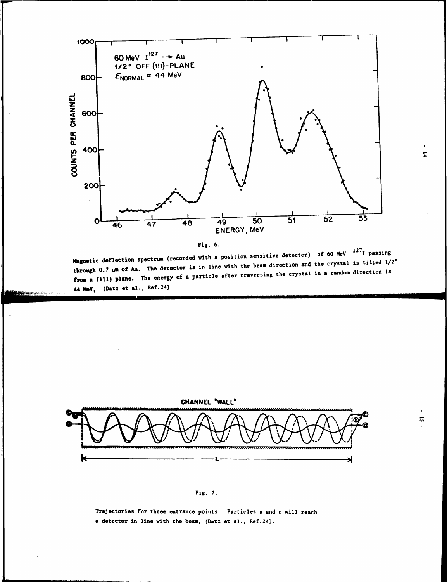



**Nagnetic deflection spectrum** (recorded with a position sensitive detecter) of 60 MeV  $^{127}$ I passing through 0.7  $\mu$ m of Au. The detector is in line with the beam direction and the crystal is tilted  $1/2^{\circ}$ from a {111} plane. The energy of a particle after traversing the crystal in a random direction is 44  $Mov<sub>a</sub>$  (Datz et al., Ref.24)





Trajectories for three entrance points. Particles a and c will reach a detector in line with the beam, (Datz et al., Ref.24).

 $\ddot{ }$ 

 $\overline{\bullet}$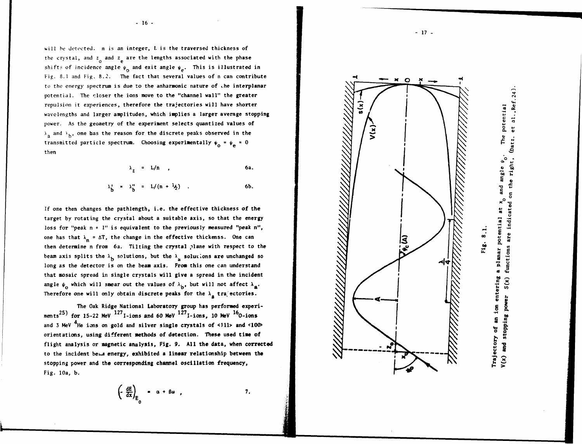wil l b e detected , **n** i s **a n integer , L i s th e traverse d thicknes s of**  the crystal, and  $z_$  and  $z_$  are the lengths associated with the phase shifts of incidence angle  $\psi$  and exit angle  $\psi$ . This is illustrated in Fig. 8.1 and Fig. 8.2. The fact that several values of n can contribute to the energy spectrum is due to the anharmonic nature of the interplanar potential. The closer the ions move to the "channel wall" the greater repulsion it experiences, therefore the trajectories will have shorter wavelength s an d **large r amplitudes , whic h implie s a large r averag e stopping**  power. As the geometry of the experiment selects quantized values of  $\lambda_{\mathbf{k}}$  and  $\lambda_{\mathbf{k}}$ , one has the reason for the discrete peaks observed in the transmitted particle spectrum. Choosing experimentally  $\psi_* = \psi_* = 0$ then

$$
\lambda_{z} = L/n \qquad (6a)
$$

$$
\lambda_b' = \lambda_b'' = L/(n + \lambda_2) .
$$
 6b.

If one then changes the pathlength, i.e. the effective thickness of the target by rotating the crystal about a suitable axis, so that the energy loss for "peak n + 1" is equivalent to the previously measured "peak n", one has that  $\lambda_n = \Delta T$ , the change in the effective thickenss. One can then determine n from 6a. Tilting the crystal plane with respect to the beam axis splits the  $\lambda_{\mathbf{k}}$  solutions, but the  $\lambda_{\mathbf{k}}$  solutions are unchanged so long as the detector is on the beam axis. From this one can understand that mosaic spread in single crystals will give a spread in the incident angle  $\psi$ <sub>O</sub> which will smear out the values of  $\lambda_{\hat{D}}$ , but will not affect  $\lambda_{\hat{a}}$ . Therefore one will only obtain discrete peaks for the  $\lambda_a$  tra ectories.

The Oak Ridge National Laboratory group has performed experiments<sup>23)</sup> for 15-22 MeV <sup>127</sup> I-ions and 60 MeV <sup>127</sup> I-ions, 10 MeV <sup>10</sup>O-ions and 3 MeV <sup>4</sup>He ions on gold and silver single crystals of <111> and <100> orientations, using different methods of detection. These used time of flight analysis or magnetic analysis, Fig. 9. All the data, when corrected to the incident bein energy, exhibited a linear relationship between the stopping power and the corresponding channel oscillation frequency, **Fig . 10a , b.** 

$$
\left(-\frac{dE}{dx}\right)_{E_0} = \alpha + \beta \omega , \qquad \qquad 7.
$$



 $\mathbf{v}$ **Cd C£ c r-. » a o <-> o . n v . c N cd o - •a - +> " JZ t> sc 00 t< 3** *&*   $\div$ poten<br>B **c o 73 cd u**   $\tilde{\mathbf{c}}$ **4> M cd cd o vi ç C d 4J o. § cd <C 5? ^ C X • H ^ < u**  *9* **0» c i**<br> **d**<br> **oppin**  $V(x)$  and **<sup>U</sup> w H >** 

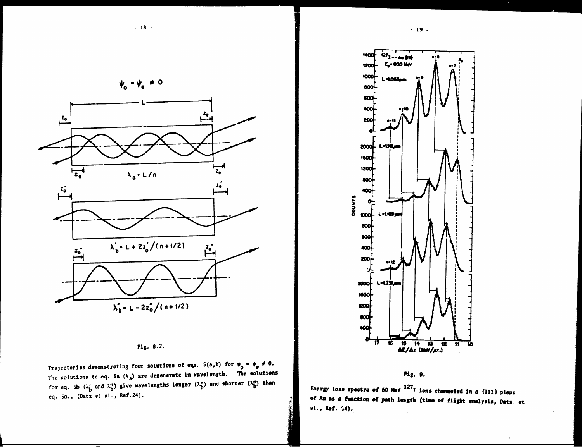

 $-18 -$ 

# Fig. 8.2.

Trajectories demonstrating four solutions of eqs. 5(a,b) for  $\psi_0 = \psi_e \neq 0$ . The solutions to eq. Sa  $(\lambda_a)$  are degenerate in wavelength. The solutions for eq. Sb  $(\lambda_b^{\prime})$  and  $\lambda_b^{\prime\prime}$ ) give wavelengths longer  $(\lambda_b^{\prime})$  and shorter  $(\lambda_b^{\prime\prime})$  than eq. 5a., (Datz et al., Ref.24).





Energy loss spectra of 60 MeV  $^{127}$ , ions channeled in a (111) plans of Au as a function of path length (time of flight snalysis, Datz. et al., Ref.  $24$ .

 $-19 -$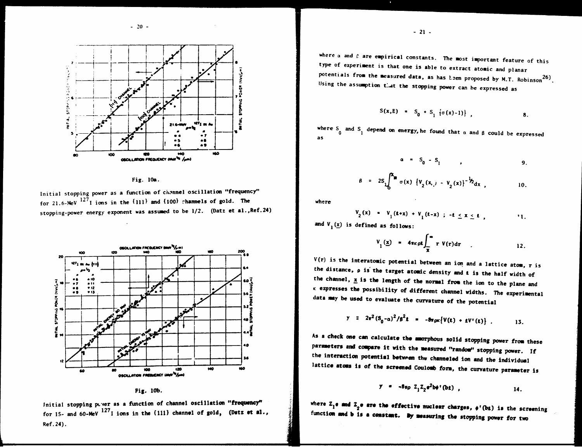



Initial stopping **power** as **a function of channel oscillation "frequency"**  for 21.6-MeV  $127$  ions in the  $\{111\}$  and  $\{100\}$  channels of gold. The **stopping-power energy exponent was assumed to be 1/2. (Datz et al.,**Ref.**24)** 





Initial stopping pumer as a function of channel oscillation "frequency" for 15- and 60-MeV  $^{127}$ I ions in the (111) channel of gold, (Datz et al., Ref.**24).** 

**where a and** *t* **are empirical constants. The aost important feature of this type of experiment is that one is able to extract atoaic and planar**  potentials from the measured data, as has *L* een proposed by M.T. Robinson<sup>26)</sup>. **Using the assumption ti.at the stopping power can be expressed as** 

$$
S(x,E) = S_0 + S_1 \{\sigma(x)-1\}
$$
, 8.

where  $\frac{3}{2}$  and  $\frac{3}{2}$  depend on energy, he found that  $\alpha$  and  $\beta$  could be expressed as

$$
\alpha = S_0 - S_1
$$
 9.  

$$
\beta = 2S \int_0^{X_{\mathbb{R}}} \sigma(x) \{V_2(x_1) - V_2(x)\}^{-\frac{1}{2}} dx
$$
 10.

**where** 

$$
V_2(x) = V_1(t+x) + V_1(t-x) ; -t \leq x \leq t , \qquad \qquad \text{1.}
$$

and  $V_1(\underline{x})$  is defined as follows:

$$
V_{1}(\underline{x}) = 4\pi\kappa\rho t \int_{\overline{x}}^{\infty} r V(r) dr
$$
 12.

**V(r) is the interatoaic potential between an ion and a lattice atom, r is the distance, p is' the target atoaic density and £ is the half width of**  the channel,  $\overline{x}$  is the length of the normal from the ion to the plane and *<sup>K</sup>* **expresses the possibility of different channel widths. The experimental**  data may be used to evaluate the curvature of the potential

$$
y = 2\pi^2 (S_0 - \alpha)^2 / \beta^2 t = -\delta \pi \rho \kappa \{V(t) + \ell V'(t)\} \quad (13)
$$

As a check one can calculate the amorphous solid stopping power from these **parameters and compare it with the measured "random" stopping power. If the interaction potential between the channeled ion and the individual lattice atoas is of the screened Coulomb form, the curvature parameter is** 

$$
y = -8\pi \rho \ \mathbb{Z}_1 \mathbb{Z}_2 e^2 b \phi' (bt) , \qquad \qquad 14.
$$

where  $Z_1$ **e** and  $Z_2$ **e are the effective nuclear charges,**  $\phi'(b\mu)$  **is the screening** function and **b** is a constant. By measuring the stopping power for two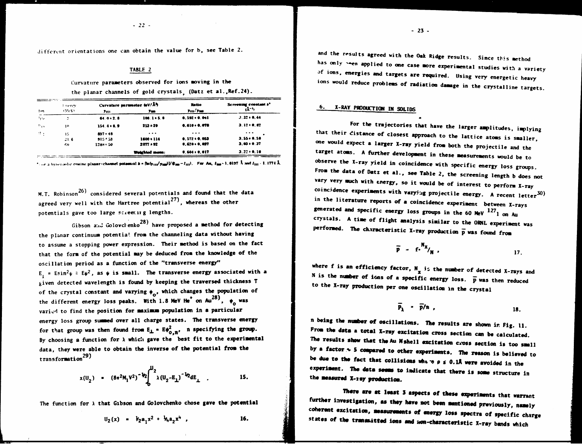different orientations one can obtain the value for b, see Table 2.

#### TABLE 2

Curvature parameters observed for ions moving in the the planar channels of gold crystals. (Datz et al., Ref.24).

| <b>Im</b>           | i nena:<br><b>CMCVE</b> | Curvature parameter (eV/Å?) |                | Ratio               | Screening constant it |
|---------------------|-------------------------|-----------------------------|----------------|---------------------|-----------------------|
|                     |                         | 7m                          | 7 <sub>5</sub> | 7111/7100           | ふい                    |
| محرة                | $\mathbb{C}$            | $64.0*2.8$                  | $106.1 + 5.8$  | $0.592 + 0.041$     | $J, 22 + 0, 44$       |
| $\mathbf{r}_{\ell}$ | 10                      | $154.4 \pm 0.9$             | $253 * 29$     | $0.610 \cdot 0.078$ | $3.12 + 0.42$         |
| $12\,$ $\,$         | 15                      | $837 + 48$                  | $\cdots$       | $\cdots$            | $\cdots$              |
|                     | 21.6                    | 915753                      | $1600 * 114$   | $0.572 + 0.053$     | $3.55 + 0.58$         |
|                     | £п.                     | 12881.50                    | $2077 + 92$    | $0.420 + 0.037$     | $3.03 + 0.37$         |
|                     |                         |                             | Weighted mean: | $0.604 \pm 0.017$   | $3.22 \cdot 0.10$     |

or a hyperodic cosine planar-channel potential  $b$  =  $\ln(y_{11}/y_{100})U(y_{100}-I_{111})$ . For Au,  $I_{100}$  = 1, 0197  $\AA$  and  $I_{111}$  = 1, 1774  $\AA$ .

M.T. Robinson<sup>26)</sup> considered several potentials and found that the data agreed very well with the Hartree potential $^{27}$ ), whereas the other notentials gave too large screening lengths.

Gibson and Golovchenko<sup>28</sup> have proposed a method for detecting the planar continuum potential from the channeling data without having to assume a stopping power expression. Their method is based on the fact that the form of the potential may be deduced from the knowledge of the oscillation period as a function of the "transverse energy" E<sub>1</sub> = Esin<sup>2</sup> $\psi$  = E $\psi^2$ , as  $\psi$  is small. The transverse energy associated with a given detected wavelength is found by keeping the traversed thickness T of the crystal constant and varying  $\phi_0$ , which changes the population of the different energy loss peaks. With 1.8 MeV He<sup>+</sup> on Au<sup>28</sup>,  $\phi_n$  was varied to find the position for maximum population in a particular energy loss group summed over all charge states. The transverse energy for that group was then found from  $E_{\perp} = E \psi_{0,n}^2$ , n specifying the group. By choosing a function for  $\lambda$  which gave the best fit to the experimental data, they were able to obtain the inverse of the potential from the transformation<sup>29)</sup>

$$
x(U_2) = (8\pi^2 M_1 V^2)^{-1/2} \int_0^{U_2} \lambda (U_2 - E_1)^{-1/2} dE_1
$$
 15.

The function for  $\lambda$  that Gibson and Golovchenko chose gave the potential

$$
U_2(x) = V_2 a_1 x^2 + V_4 a_2 x^4
$$

and the results agreed with the Oak Ridge results. Since this method has only veen applied to one case more experimental studies with a variety of ions, energies and targets are required. Using very energetic heavy ions would reduce problems of radiation damage in the crystalline targets.

# 6. X-RAY PRODUCTION IN SOLIDS

For the trajectories that have the larger amplitudes, implying that their distance of closest approach to the lattice atoms is smaller, one would expect a larger X-ray yield from both the projectile and the target atoms. A further development in these measurements would be to observe the X-ray yield in coincidence with specific energy loss groups. From the data of Datz et al., see Table 2, the screening length b does not vary very much with energy, so it would be of interest to perform X-ray coincidence experiments with varying projectile energy. A recent letter<sup>30)</sup> in the literature reports of a coincidence experiment between X-rays generated and specific energy loss groups in the 60 MeV  $^{127}$ 1 on Au crystals. A time of flight analysis similar to the ORNL experiment was performed. The characteristic X-ray production p was found from

$$
\overline{p} - f^{\ast}{}^{N}x_{N} , \qquad \qquad 17.
$$

where f is an efficiency factor,  $N_{\overline{x}}$  is the number of detected X-rays and N is the number of ions of a specific energy loss.  $\bar{p}$  was then reduced to the X-ray production per one oscillation in the crystal

$$
\overline{P}_{\lambda} = \overline{P}/n , \qquad \qquad 18.
$$

n being the number of oscillations. The results are shown in Fig. 11. From the data a total X-ray excitation cross section can be calculated. The results show that the Au M shell excitation cross section is too small by a factor  $\sim$  5 compared to other experiments. The reason is believed to be due to the fact that collisions where  $\rho \leq 0.1$ Å were avoided in the experiment. The data seems to indicate that there is some structure in the measured X-1sy production.

There are at least 3 aspects of these experiments that warrant further investigation, as they have not been mentioned previously, namely coherent excitation, measurements of energy loss spectra of specific charge states of the transmitted ions and non-characteristic X-ray bands which

 $-23 -$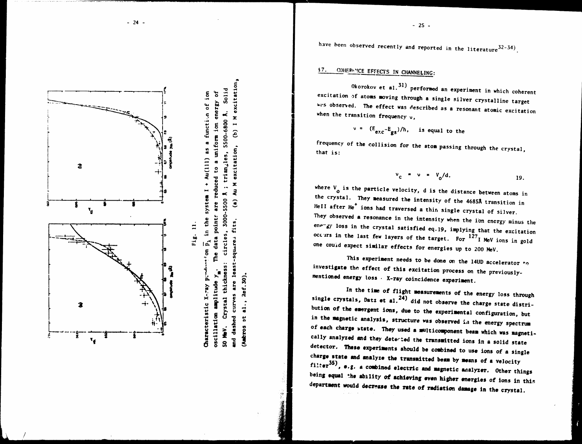have been observed recently and reported in the literature  $32-34$ ).

# 57. CUHERENCE EFFECTS IN CHANNELING:

Okorokov et al.<sup>31)</sup> performed an experiment in which coherent excitation of atoms moving through a single silver crystalline target wars observed. The effect was described as a resonant atomic excitation when the transition frequency  $v$ ,

 $v = (E_{\text{exc}}-E_{\text{gs}})/h$ , is equal to the

frequency of the collision for the atom passing through the crystal, that is:

$$
\nu_c = \nu = V_0/d. \tag{19}
$$

where  $V_o$  is the particle velocity, d is the distance between atoms in the crystal. They measured the intensity of the 4685Å transition in Hell after He<sup>+</sup> ions had traversed a thin single crystal of silver. They observed a resonance in the intensity when the ion energy minus the eneway loss in the crystal satisfied eq.19, implying that the excitation occurs in the last few layers of the target. For  $^{127}$ I MeV ions in gold one could expect similar effects for energies up to 200 MeV.

This experiment needs to be done on the 14UD accelerator  $t_0$ investigate the effect of this excitation process on the previouslymentioned energy loss . X-ray coincidence experiment.

In the time of flight measurements of the energy loss through single crystals, Datz et al.<sup>24</sup> did not observe the charge state distribution of the emergent ions, due to the experimental configuration, but in the magnetic analysis, structure was observed in the energy spectrum of each charge state. They used a multicomponent beam which was magnetically analyzed and they detected the transmitted ions in a solid state detector. These experiments should be combined to use ions of a single charge state and analyze the transmitted beam by means of a velocity filter<sup>35</sup>, e.g. a combined electric and magnetic analyzer. Other things being equal the ability of achieving even higher energies of ions in this department would decrease the rate of radiation damage in the crystal.



(b) I M excitation Solid uniform ion energy of function of ion 5500-6800 A. 36<br>8 excitation. trian<sub>d</sub>les,  $Au(111)$ reduced to a 3 in the system -5500  $\mathbf{a}$ points are 3000fits. data are least-squares thickne **Ref. 30)** oscillation amplitude Characteristic X-ray curves Crystal a1., and dashed (Authros NeV. ន្ល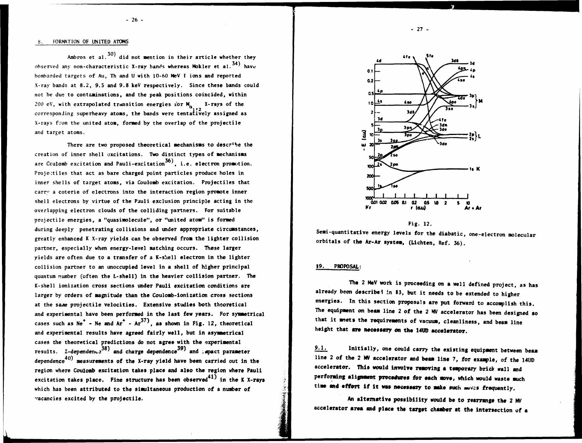**- 27 -**

#### FORMATION OF UNITED ATOMS

Ambros et al.<sup>30)</sup> did not mention in their article whether they observed any non-characteristic X-ray bands whereas Mokler et al.<sup>34)</sup> have **bombarded targets of Au, Th and U with 10-60 MeV I ions and reported X-ray bands at 8.2 , 9.5 and 9.8 keV respectively. Since these bands could not be due to contaminations, and the peak positions coincided, within**  200 eV, with extrapolated transition energies ror M<sub>n</sub> X-rays of the **l»2 corresponding superheavy atoms, the bands were tentatively assigned as**  X-rays from the united atom, formed by the overlap of the projectile **and target atoms.** 

**- 26 -**

There are two proposed theoretical mechanisms to describe the creation of inner shell excitations. Two distinct types of mechanisms **36) are Cculomb excitation and Pauli-excitation , i.e . electron promotion.**  Projectiles that act as bare charged point particles produce holes in inner shells of target atoms, via Coulomb excitation. Projectiles that carry a coterie of electrons into the interaction region promote inner **shell electrons by virtue of the Pauli exclusion principle acting in the overlapping electron clouds of the colliding partners. For suitable projectil e energies, a "quasimolecule", or "united atom" is formed during deeply penetrating collisions and under appropriate circumstances,**  greatly enhanced K X-ray yields can be observed from the lighter collision **partner, especially when energy-level matching occurs. These larger yields are often due to a transfer of a K-s!iell electron in the lighte r collision partner to an unoccupied level in a shell of higher principal**  quantum number (often the L-shell) in the heavier collision partner. The **K-shell ionization cross sections under Pauli excitation conditions are larger by orders of magnitude than the Coulomb-ionization cross sections**  at the same projectile velocities. Extensive studies both theoretical **and experimental have been performed in the last few years. For symmetrical**  cases such as  $Ne^+$  - Ne and  $Ar^+$  -  $Ar^{37}$ , as shown in Fig. 12, theoretical and experimental results have agreed fairly well, but in asymmetrical **cases the theoretical predictions do not agree with the experimental results. Z-dependenco** *'* **and charge dependence** *'* **and .«pact parameter dependence** *'* **measurements of the X-ray yield have been carried out in the**  region where Coulomb excitation takes place and also the region where Pauli **41) excitation takes place . Fine structure has been observed** *'* **in the K X-rays which has been attributed to the simultaneous production of a number of vacancies excited by the projectile.** 



#### **Fig. 12.**

**Semi-quantitative energy levels for the diabatic , one-electron molecular orbitals of the Ar-Ar system, (Lichten, Ref. 36).** 

#### **19. PROPOSAL:**

**The 2 MeV work is proceeding on a well defined project, as has already been describe1 in 13, but it needs to be extended to higher energies. In this section proposals are put forward to accomplish this. The equipment on beam line 2 of the 2 MV accelerator has been designed so**  that it meets the requirements of vacuum, cleanliness, and beam line **height that are necessary on the 14UD accelerator.** 

*9A -* **Initially, one could carry the existing equipment between beam**  line 2 of the 2 MV accelerator and beam line 7, for example, of the 14UD accelerator. This would involve removing a temporary brick wall and **performing alignment procedures for each move, which would waste much**  time and effort if it was necessary to make such moves frequently.

**An alternative possibility would be to rearrange the 2 MV accelerator area and place the target chamber at the intersection of a**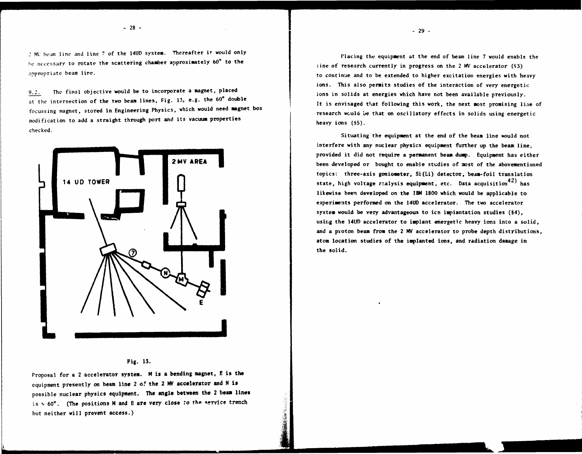**: MV beam line and line 7 of the 14UD system. Thereafter it would only**  he necessary to rotate the scattering chamber approximately 60° to the **appropriate beam lire.** 

**9.2. The final objective would be to incorporate a magnet, placed at the intersection of the two beam lines, Fig. 12, e.g. the 60° double focussing magnet, stored in Engineering Physics, which would need magnet modification to add a straight through port and its vacuum properties checked.** 





**Proposal for a 2 accelerator system. M is a bending magnet, E is the equipment presently on beam line 2 of the 2 MV accelerator and N is possible nuclear physics equipment. The angle between the 2 beam lines**  is  $\sim 60^\circ$ . (The positions M and E are very close to the service trench **but neither will prevent access.)** 

**Placing the equipment at the end of beam line 7 would enable the line of research currently in progress on the 2 MV accelerator (§3) to continue and to be extended to higher excitation energies with heavy ions. This also permits studies of the interaction of very energetic ions in solids at energies which have not been available previously. It is envisaged that following this work, the next most promising line of research wculd be that on oscillatory effects in solids using energetic heavy ions (55).** 

**Situating the equipment at the end of the beam line would not interfere with any nuclear physics equipment further up the beam line, provided it did not require a permanent beam dump. Equipment has either been developed or bought to enable studies of most of the abovementioned topics: three-axis goniometer. Si(Li) detector, beam-foil translation 421 state, high voltage fr.alysis equipment, etc. Data acquisition** *'* **has likewise been developed on the IBM 1800 which would be applicable to experiments performed on the 14UD accelerator. The two accelerator system would be very advantageous to icn implantation studies (§4), using the 14UD accelerator to implant energetic heavy ions into a solid, and a proton beam from the 2 MV accelerator to probe depth distributions, atom location studies of the implanted ions, and radiation damage in the solid.**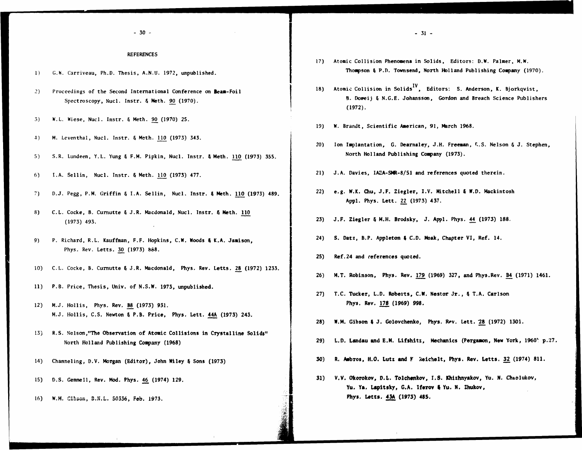- 30 -

#### REFERENCES

- 1) G.K. Carriveau, Ph.D. Thesis, A.N.U. 1972, unpublished.
- 2) Proceedings of the Second International Conference on **Bean-Foil**  Spectroscopy, Nucl. Instr. & Meth. 90 (1970).
- W.L. Wiese, Nucl. Instr. & Meth. 90 (1970) 25.  $\overline{5}$ )
- M. Leventhal, Nucl. Instr. & Meth. 110 (1973) 343.  $\left|4\right\rangle$
- S.R. Lundeen, Y.L. Yung & F.M. Pipkin, Nucl. Instr. & Meth. 110 (1973) 355.  $5)$
- I.A. Sellin, Nucl. Instr. & Meth. 110 (1973) 477. 6)
- $7)$ D.J. Pegg, P.M. Griffin & I.A. Sellin, Nucl. Instr. & Meth. 110 (1973) 489.
- 8) C.L. Cocke, B. Curnutte & J.R. Macdonald, Nucl. Instr. & Meth. 110  $(1973)$  493.
- **9) P. Richard, R.L. Kauffman, F.F. Hopkins, C.W. Woods** *I* **K.A. Jamison,**  Phys. Rev. Letts. 30 (1973) 888.
- $10)$ C.L. Cocke, B. Curnutte & J.R. Macdonald, Phys. Rev. Letts. 28 (1972) 1233.
- P.B. Price, Thesis, Univ. of N.S.W. 1973, unpublished.  $11)$
- $12)$ M.J. Hollis, Phys. Rev. B8 (1973) 931. M.J. Hollis, C.S. Newton & P.B. Price, Phys. Lett. 44A (1973) 243.
- 13) R.S. Nelson,"The Observation of Atonic Collisions in Crystalline **Solids"**  North Holland Publishing Company (1968)

M.J. Hollis, CS . Newton 6 P.B. Price, Phys. Lett. **44A** (1973) 243.

- Channeling, D.V. Morgan (Editor), John Wiley & Sons (1973) 14)
- D.S. Gemmell, Rev. Mod. Phys. 46 (1974) 129.  $15)$
- $16$ W.M. Cibson, B.N.L. 50336, Feb. 1973.
- 17) Atomic Collision Phenomena in Solids, Editors: D.W. Palmer, M.W. Thompson \$ P.D. Townsend, North Holland Publishing Company (1970).
- Atomic Collision in Solids<sup>IV</sup>, Editors: S. Anderson, K. Bjorkqvist,  $18<sub>1</sub>$ **18. Domeij & N.G.E. Johansson, Gordon and Breach Science Publishers B. Doveij \$ N.G.E. Johansson, Gordon and Breach Science Publishers (1972).**
- **19) W. Brandt, Scientific American, 91, March 1968.**
- **20) Ion Implantation, G. Dearnaley, J.H. Freeman, <sup>r</sup> ..S. Nelson 5 J. Stephen,**  North Holland Publishing Company (1973).
- J.A. Davies, IAEA-SMR-8/51 and references quoted therein. **21)**
- e.g. W.K. Chu, J.F. Ziegler, I.V. Mitchell & W.D. Mackintosh 22) App1. Phys. Lett. 22 (1973) 437.
- $23)$ **J.F. Ziegler & M.H. Brodsky, J. Appl. Phys. 44 (1973) 188.**
- 24) S. Datz, B.P. Appleton § C.D. Moak, Chapter VI, Ref. 14.
- 25) Ref. 24 and references quoted.
- 26) M.T. Robinson, Phys. Rev. 179 (1969) 327, and Phys. Rev. B4 (1971) 1461.
- 27) T.C. Tucker, L.D. Roberts, C.W. Nestor Jr., § T.A. Carlson Phys. Rev. 178 (1969) 998.
- W.M. Gibson & J. Golovchenko, Phys. Rev. Lett. 28 (1972) 1301. 28)
- 29) L.D. Landau and E.M. Lifshitz, Mechanics (Pergamon, New York, 1960) p.27.
- R. Ambros, H.O. Lutz and K keichelt, Phys. Rev. Letts. 32 (1974) 811.  $30<sub>1</sub>$
- 31) V.V. Okorokov, D.L. Tolchenkov, I.S. Khizhnyakov, Yu. N. Cheblukov, Yu. Ya. Lapitsky, G.A. Iferov & Yu. N. Zhukov, Phys. Letts. 43A (1973) 485.